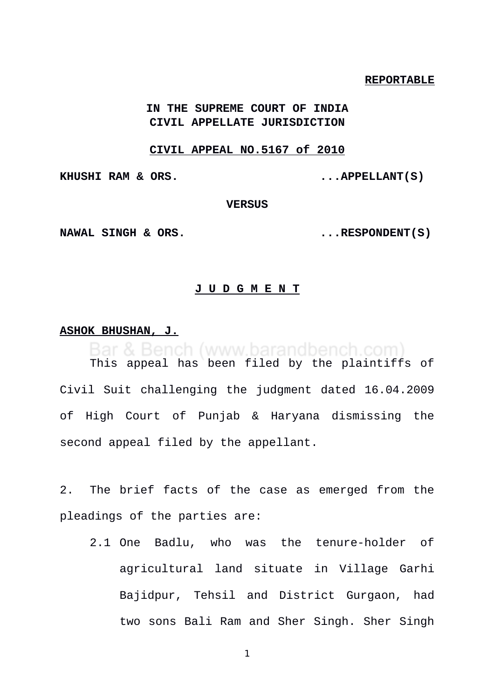### **REPORTABLE**

# **IN THE SUPREME COURT OF INDIA CIVIL APPELLATE JURISDICTION**

### **CIVIL APPEAL NO.5167 of 2010**

**KHUSHI RAM & ORS. ...APPELLANT(S)** 

### **VERSUS**

**NAWAL SINGH & ORS.** ...RESPONDENT(S)

### **J U D G M E N T**

### **ASHOK BHUSHAN, J.**

Bar & Bench (www.barandbench.com)

This appeal has been filed by the plaintiffs of Civil Suit challenging the judgment dated 16.04.2009 of High Court of Punjab & Haryana dismissing the second appeal filed by the appellant.

2. The brief facts of the case as emerged from the pleadings of the parties are:

2.1 One Badlu, who was the tenure-holder of agricultural land situate in Village Garhi Bajidpur, Tehsil and District Gurgaon, had two sons Bali Ram and Sher Singh. Sher Singh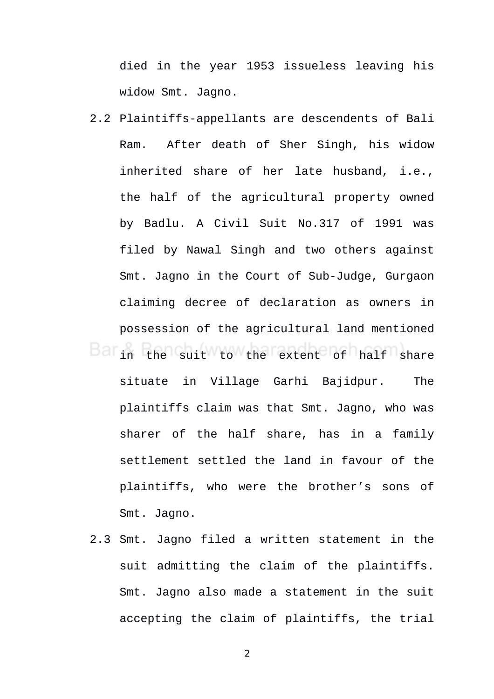died in the year 1953 issueless leaving his widow Smt. Jagno.

- 2.2 Plaintiffs-appellants are descendents of Bali Ram. After death of Sher Singh, his widow inherited share of her late husband, i.e., the half of the agricultural property owned by Badlu. A Civil Suit No.317 of 1991 was filed by Nawal Singh and two others against Smt. Jagno in the Court of Sub-Judge, Gurgaon claiming decree of declaration as owners in possession of the agricultural land mentioned in the suit to the extent of half share situate in Village Garhi Bajidpur. The plaintiffs claim was that Smt. Jagno, who was sharer of the half share, has in a family settlement settled the land in favour of the plaintiffs, who were the brother's sons of Smt. Jagno.
- 2.3 Smt. Jagno filed a written statement in the suit admitting the claim of the plaintiffs. Smt. Jagno also made a statement in the suit accepting the claim of plaintiffs, the trial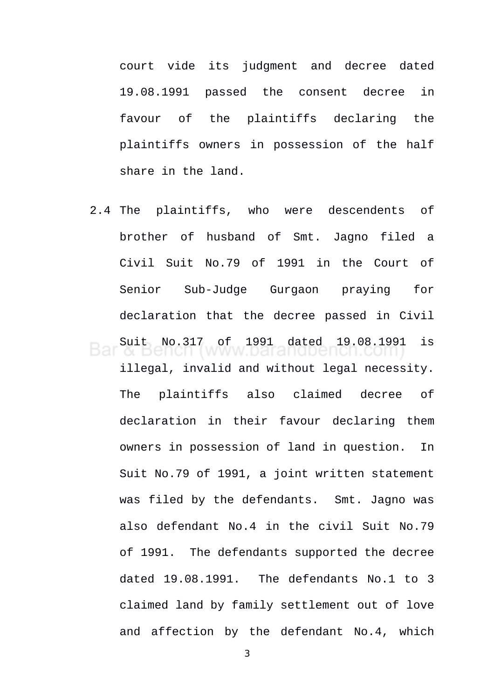court vide its judgment and decree dated 19.08.1991 passed the consent decree in favour of the plaintiffs declaring the plaintiffs owners in possession of the half share in the land.

2.4 The plaintiffs, who were descendents of brother of husband of Smt. Jagno filed a Civil Suit No.79 of 1991 in the Court of Senior Sub-Judge Gurgaon praying for declaration that the decree passed in Civil Suit No.317 of 1991 dated 19.08.1991 is

illegal, invalid and without legal necessity. The plaintiffs also claimed decree of declaration in their favour declaring them owners in possession of land in question. In Suit No.79 of 1991, a joint written statement was filed by the defendants. Smt. Jagno was also defendant No.4 in the civil Suit No.79 of 1991. The defendants supported the decree dated 19.08.1991. The defendants No.1 to 3 claimed land by family settlement out of love and affection by the defendant No.4, which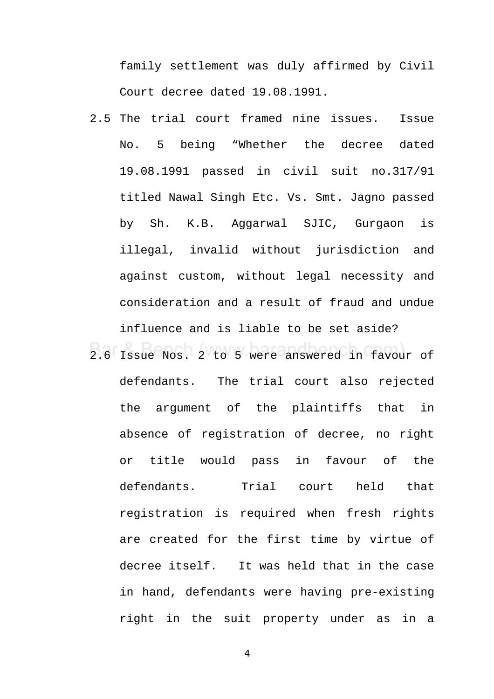family settlement was duly affirmed by Civil Court decree dated 19.08.1991.

- 2.5 The trial court framed nine issues. Issue No. 5 being "Whether the decree dated 19.08.1991 passed in civil suit no.317/91 titled Nawal Singh Etc. Vs. Smt. Jagno passed by Sh. K.B. Aggarwal SJIC, Gurgaon is illegal, invalid without jurisdiction and against custom, without legal necessity and consideration and a result of fraud and undue influence and is liable to be set aside?
- 2.6 Issue Nos. 2 to 5 were answered in favour of defendants. The trial court also rejected the argument of the plaintiffs that in absence of registration of decree, no right or title would pass in favour of the defendants. Trial court held that registration is required when fresh rights are created for the first time by virtue of decree itself. It was held that in the case in hand, defendants were having pre-existing right in the suit property under as in a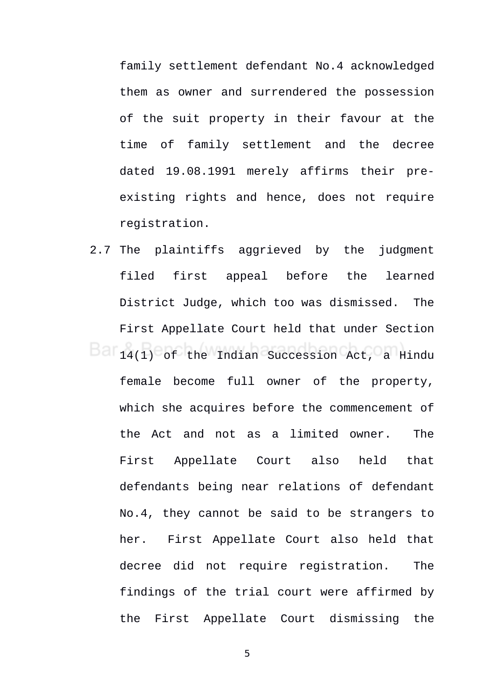family settlement defendant No.4 acknowledged them as owner and surrendered the possession of the suit property in their favour at the time of family settlement and the decree dated 19.08.1991 merely affirms their preexisting rights and hence, does not require registration.

2.7 The plaintiffs aggrieved by the judgment filed first appeal before the learned District Judge, which too was dismissed. The First Appellate Court held that under Section 14(1) of the Indian Succession Act, a Hindu female become full owner of the property, which she acquires before the commencement of the Act and not as a limited owner. The First Appellate Court also held that defendants being near relations of defendant No.4, they cannot be said to be strangers to her. First Appellate Court also held that decree did not require registration. The findings of the trial court were affirmed by the First Appellate Court dismissing the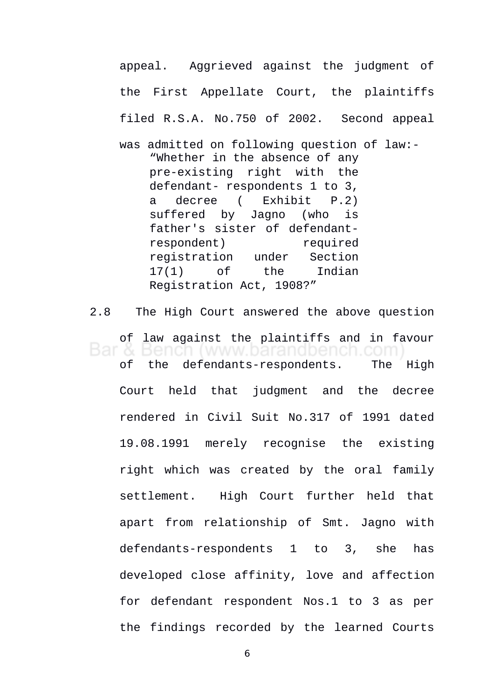appeal. Aggrieved against the judgment of the First Appellate Court, the plaintiffs filed R.S.A. No.750 of 2002. Second appeal was admitted on following question of law:- "Whether in the absence of any pre-existing right with the defendant- respondents 1 to 3, a decree ( Exhibit P.2) suffered by Jagno (who is father's sister of defendantrespondent) required registration under Section 17(1) of the Indian Registration Act, 1908?"

2.8 The High Court answered the above question of law against the plaintiffs and in favour & Bench (www.barandbench.com of the defendants-respondents. The High Court held that judgment and the decree rendered in Civil Suit No.317 of 1991 dated 19.08.1991 merely recognise the existing right which was created by the oral family settlement. High Court further held that apart from relationship of Smt. Jagno with defendants-respondents 1 to 3, she has developed close affinity, love and affection for defendant respondent Nos.1 to 3 as per the findings recorded by the learned Courts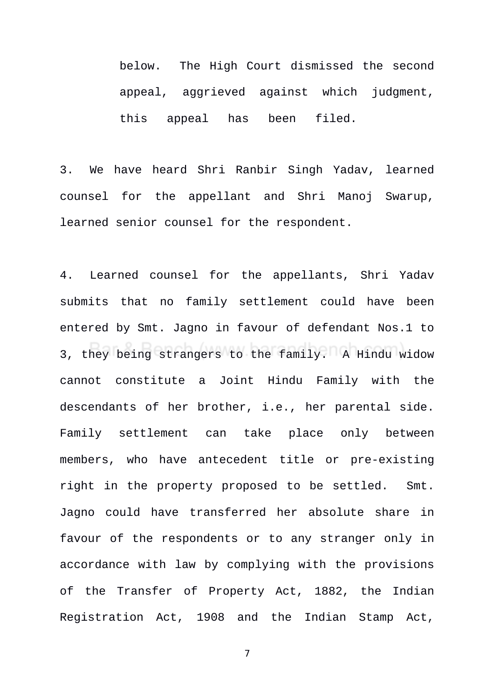below. The High Court dismissed the second appeal, aggrieved against which judgment, this appeal has been filed.

3. We have heard Shri Ranbir Singh Yadav, learned counsel for the appellant and Shri Manoj Swarup, learned senior counsel for the respondent.

4. Learned counsel for the appellants, Shri Yadav submits that no family settlement could have been entered by Smt. Jagno in favour of defendant Nos.1 to 3, they being strangers to the family. A Hindu widow cannot constitute a Joint Hindu Family with the descendants of her brother, i.e., her parental side. Family settlement can take place only between members, who have antecedent title or pre-existing right in the property proposed to be settled. Smt. Jagno could have transferred her absolute share in favour of the respondents or to any stranger only in accordance with law by complying with the provisions of the Transfer of Property Act, 1882, the Indian Registration Act, 1908 and the Indian Stamp Act,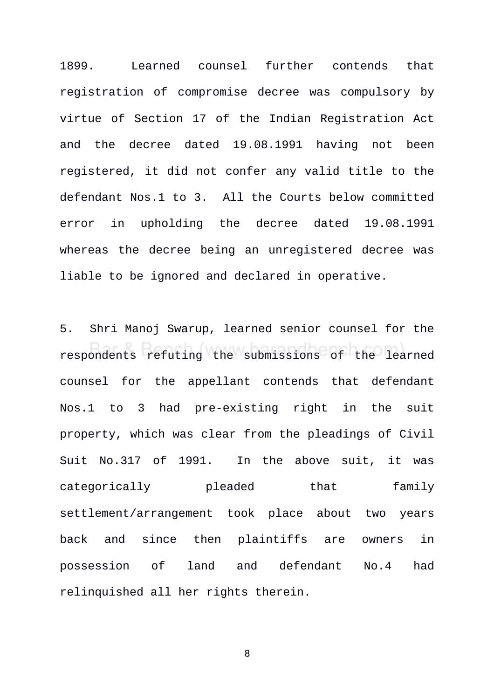1899. Learned counsel further contends that registration of compromise decree was compulsory by virtue of Section 17 of the Indian Registration Act and the decree dated 19.08.1991 having not been registered, it did not confer any valid title to the defendant Nos.1 to 3. All the Courts below committed error in upholding the decree dated 19.08.1991 whereas the decree being an unregistered decree was liable to be ignored and declared in operative.

5. Shri Manoj Swarup, learned senior counsel for the respondents refuting the submissions of the learned counsel for the appellant contends that defendant Nos.1 to 3 had pre-existing right in the suit property, which was clear from the pleadings of Civil Suit No.317 of 1991. In the above suit, it was categorically pleaded that family settlement/arrangement took place about two years back and since then plaintiffs are owners in possession of land and defendant No.4 had relinquished all her rights therein.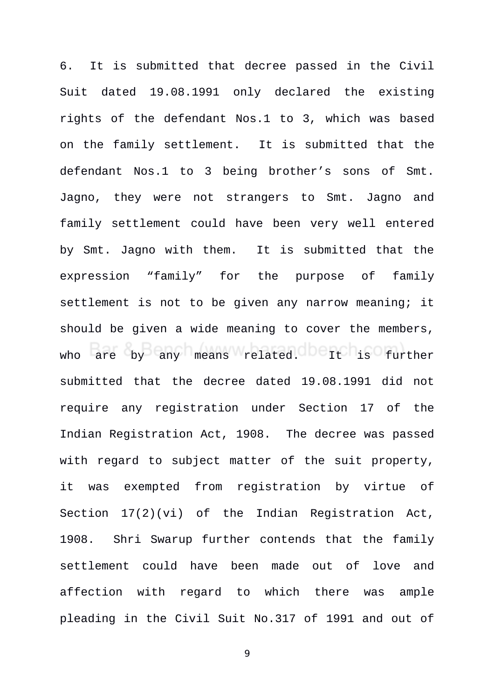6. It is submitted that decree passed in the Civil Suit dated 19.08.1991 only declared the existing rights of the defendant Nos.1 to 3, which was based on the family settlement. It is submitted that the defendant Nos.1 to 3 being brother's sons of Smt. Jagno, they were not strangers to Smt. Jagno and family settlement could have been very well entered by Smt. Jagno with them. It is submitted that the expression "family" for the purpose of family settlement is not to be given any narrow meaning; it should be given a wide meaning to cover the members, who are by any means related. It is further submitted that the decree dated 19.08.1991 did not require any registration under Section 17 of the Indian Registration Act, 1908. The decree was passed with regard to subject matter of the suit property, it was exempted from registration by virtue of Section 17(2)(vi) of the Indian Registration Act, 1908. Shri Swarup further contends that the family settlement could have been made out of love and affection with regard to which there was ample pleading in the Civil Suit No.317 of 1991 and out of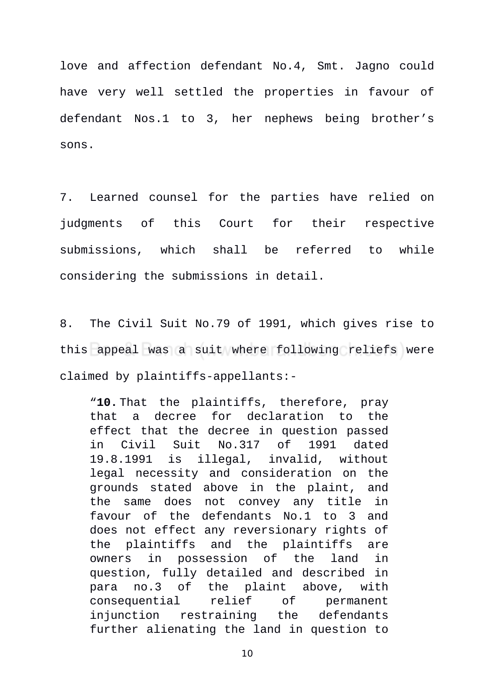love and affection defendant No.4, Smt. Jagno could have very well settled the properties in favour of defendant Nos.1 to 3, her nephews being brother's sons.

7. Learned counsel for the parties have relied on judgments of this Court for their respective submissions, which shall be referred to while considering the submissions in detail.

8. The Civil Suit No.79 of 1991, which gives rise to this appeal was a suit where following reliefs were claimed by plaintiffs-appellants:-

"**10.** That the plaintiffs, therefore, pray that a decree for declaration to the effect that the decree in question passed in Civil Suit No.317 of 1991 dated 19.8.1991 is illegal, invalid, without legal necessity and consideration on the grounds stated above in the plaint, and the same does not convey any title in favour of the defendants No.1 to 3 and does not effect any reversionary rights of the plaintiffs and the plaintiffs are owners in possession of the land in question, fully detailed and described in para no.3 of the plaint above, with consequential relief of permanent injunction restraining the defendants further alienating the land in question to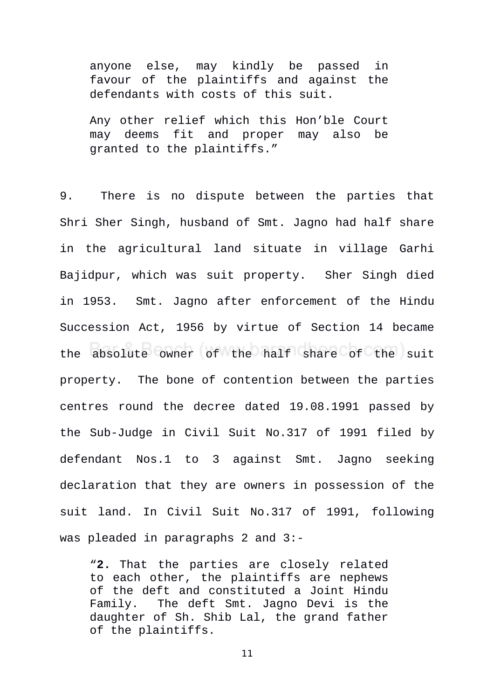anyone else, may kindly be passed in favour of the plaintiffs and against the defendants with costs of this suit.

Any other relief which this Hon'ble Court may deems fit and proper may also be granted to the plaintiffs."

9. There is no dispute between the parties that Shri Sher Singh, husband of Smt. Jagno had half share in the agricultural land situate in village Garhi Bajidpur, which was suit property. Sher Singh died in 1953. Smt. Jagno after enforcement of the Hindu Succession Act, 1956 by virtue of Section 14 became the absolute owner of the half share of the suit property. The bone of contention between the parties centres round the decree dated 19.08.1991 passed by the Sub-Judge in Civil Suit No.317 of 1991 filed by defendant Nos.1 to 3 against Smt. Jagno seeking declaration that they are owners in possession of the suit land. In Civil Suit No.317 of 1991, following was pleaded in paragraphs 2 and 3:-

"**2.** That the parties are closely related to each other, the plaintiffs are nephews of the deft and constituted a Joint Hindu Family. The deft Smt. Jagno Devi is the daughter of Sh. Shib Lal, the grand father of the plaintiffs.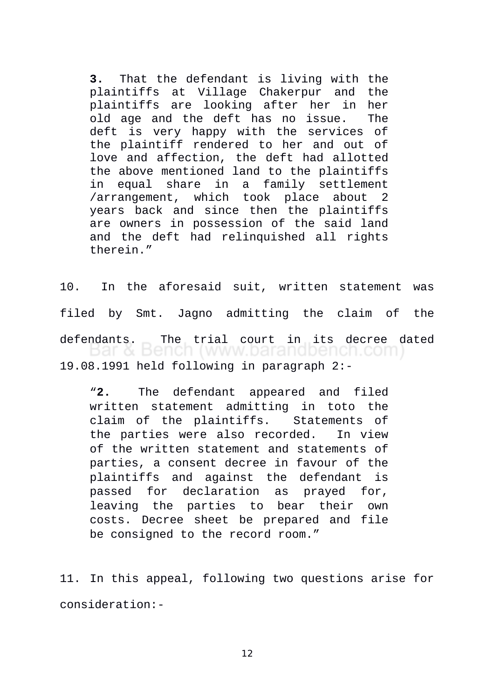**3.** That the defendant is living with the plaintiffs at Village Chakerpur and the plaintiffs are looking after her in her old age and the deft has no issue. The deft is very happy with the services of the plaintiff rendered to her and out of love and affection, the deft had allotted the above mentioned land to the plaintiffs in equal share in a family settlement /arrangement, which took place about 2 years back and since then the plaintiffs are owners in possession of the said land and the deft had relinquished all rights therein."

10. In the aforesaid suit, written statement was filed by Smt. Jagno admitting the claim of the defendants. The trial court in its decree dated<br>Dar & Bench (www.barandbench.com) 19.08.1991 held following in paragraph 2:-

"**2.** The defendant appeared and filed written statement admitting in toto the claim of the plaintiffs. Statements of the parties were also recorded. In view of the written statement and statements of parties, a consent decree in favour of the plaintiffs and against the defendant is passed for declaration as prayed for, leaving the parties to bear their own costs. Decree sheet be prepared and file be consigned to the record room."

11. In this appeal, following two questions arise for consideration:-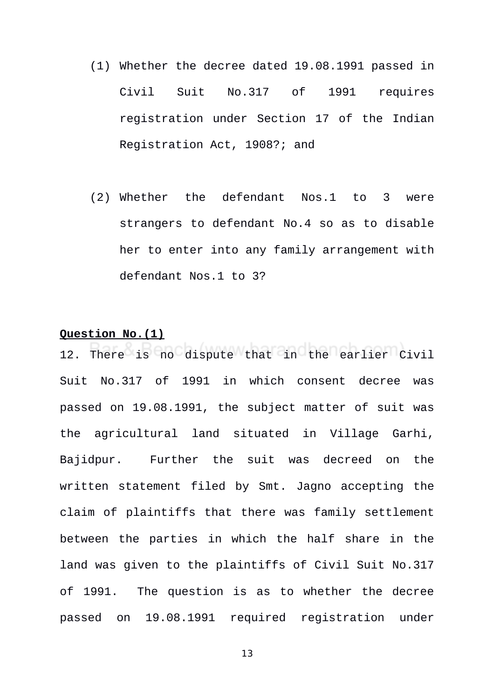- (1) Whether the decree dated 19.08.1991 passed in Civil Suit No.317 of 1991 requires registration under Section 17 of the Indian Registration Act, 1908?; and
- (2) Whether the defendant Nos.1 to 3 were strangers to defendant No.4 so as to disable her to enter into any family arrangement with defendant Nos.1 to 3?

# **Question No.(1)**

12. There is no dispute that in the earlier Civil Suit No.317 of 1991 in which consent decree was passed on 19.08.1991, the subject matter of suit was the agricultural land situated in Village Garhi, Bajidpur. Further the suit was decreed on the written statement filed by Smt. Jagno accepting the claim of plaintiffs that there was family settlement between the parties in which the half share in the land was given to the plaintiffs of Civil Suit No.317 of 1991. The question is as to whether the decree passed on 19.08.1991 required registration under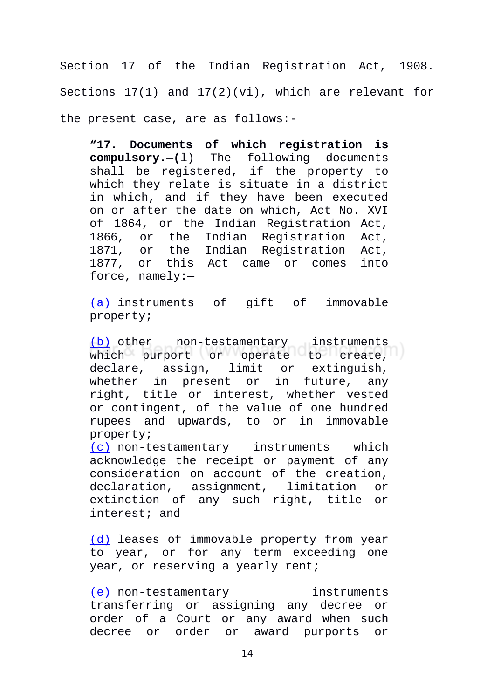Section 17 of the Indian Registration Act, 1908. Sections 17(1) and 17(2)(vi), which are relevant for the present case, are as follows:-

**"17. Documents of which registration is compulsory.—(**l) The following documents shall be registered, if the property to which they relate is situate in a district in which, and if they have been executed on or after the date on which, Act No. XVI of 1864, or the Indian Registration Act, 1866, or the Indian Registration Act, 1871, or the Indian Registration Act, 1877, or this Act came or comes into force, namely:—

[\(a\)](https://indiankanoon.org/doc/10003756/) instruments of gift of immovable property;

[\(b\)](https://indiankanoon.org/doc/58546763/) other non-testamentary instruments which purport or operate to create, declare, assign, limit or extinguish, whether in present or in future, any right, title or interest, whether vested or contingent, of the value of one hundred rupees and upwards, to or in immovable property;

[\(c\)](https://indiankanoon.org/doc/117052712/) non-testamentary instruments which acknowledge the receipt or payment of any consideration on account of the creation, declaration, assignment, limitation or extinction of any such right, title or interest; and

[\(d\)](https://indiankanoon.org/doc/140984269/) leases of immovable property from year to year, or for any term exceeding one year, or reserving a yearly rent;

[\(e\)](https://indiankanoon.org/doc/188477696/) non-testamentary instruments transferring or assigning any decree or order of a Court or any award when such decree or order or award purports or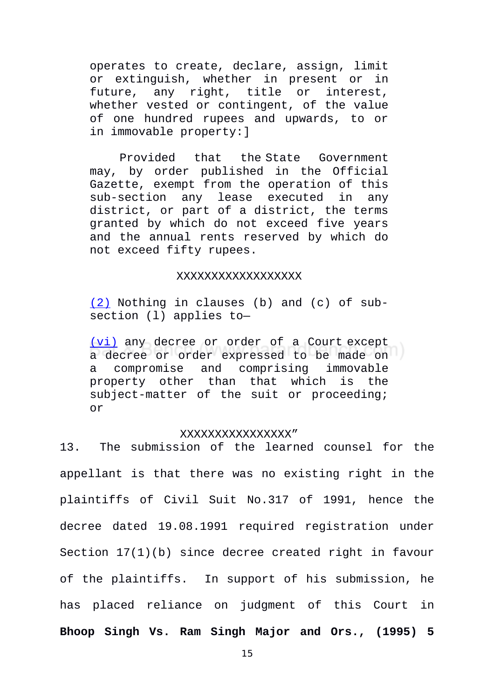operates to create, declare, assign, limit or extinguish, whether in present or in future, any right, title or interest, whether vested or contingent, of the value of one hundred rupees and upwards, to or in immovable property:]

Provided that the State Government may, by order published in the Official Gazette, exempt from the operation of this sub-section any lease executed in any district, or part of a district, the terms granted by which do not exceed five years and the annual rents reserved by which do not exceed fifty rupees.

### XXXXXXXXXXXXXXXXXX

[\(2\)](https://indiankanoon.org/doc/190098659/) Nothing in clauses (b) and (c) of subsection (l) applies to—

[\(vi\)](https://indiankanoon.org/doc/167207166/) any decree or order of a Court except a decree or order expressed to be made on a compromise and comprising immovable property other than that which is the subject-matter of the suit or proceeding; or

### XXXXXXXXXXXXXXXX"

13. The submission of the learned counsel for the appellant is that there was no existing right in the plaintiffs of Civil Suit No.317 of 1991, hence the decree dated 19.08.1991 required registration under Section 17(1)(b) since decree created right in favour of the plaintiffs. In support of his submission, he has placed reliance on judgment of this Court in **Bhoop Singh Vs. Ram Singh Major and Ors., (1995) 5**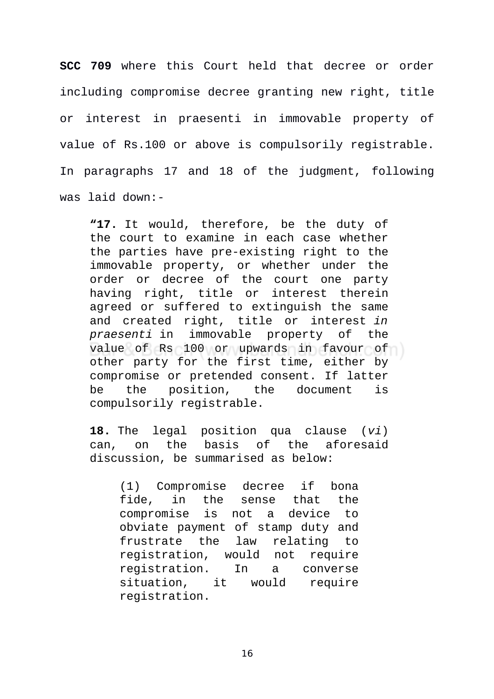**SCC 709** where this Court held that decree or order including compromise decree granting new right, title or interest in praesenti in immovable property of value of Rs.100 or above is compulsorily registrable. In paragraphs 17 and 18 of the judgment, following was laid down:-

**"17.** It would, therefore, be the duty of the court to examine in each case whether the parties have pre-existing right to the immovable property, or whether under the order or decree of the court one party having right, title or interest therein agreed or suffered to extinguish the same and created right, title or interest *in praesenti* in immovable property of the value of Rs 100 or upwards in favour of other party for the first time, either by compromise or pretended consent. If latter be the position, the document is compulsorily registrable.

**18.** The legal position qua clause (*vi*) can, on the basis of the aforesaid discussion, be summarised as below:

(1) Compromise decree if bona fide, in the sense that the compromise is not a device to obviate payment of stamp duty and frustrate the law relating to registration, would not require registration. In a converse situation, it would require registration.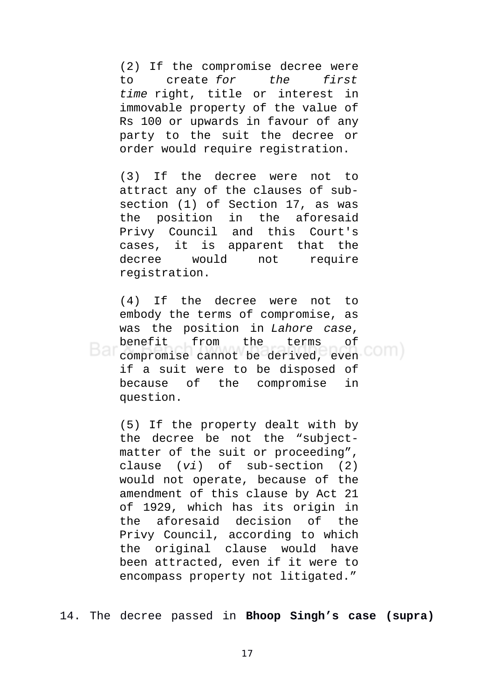(2) If the compromise decree were to create *for the first time* right, title or interest in immovable property of the value of Rs 100 or upwards in favour of any party to the suit the decree or order would require registration.

(3) If the decree were not to attract any of the clauses of subsection (1) of Section 17, as was the position in the aforesaid Privy Council and this Court's cases, it is apparent that the decree would not require registration.

(4) If the decree were not to embody the terms of compromise, as was the position in *Lahore case*, benefit from the terms of compromise cannot be derived, even if a suit were to be disposed of because of the compromise in question.

(5) If the property dealt with by the decree be not the "subjectmatter of the suit or proceeding", clause (*vi*) of sub-section (2) would not operate, because of the amendment of this clause by Act 21 of 1929, which has its origin in the aforesaid decision of the Privy Council, according to which the original clause would have been attracted, even if it were to encompass property not litigated."

14. The decree passed in **Bhoop Singh's case (supra)**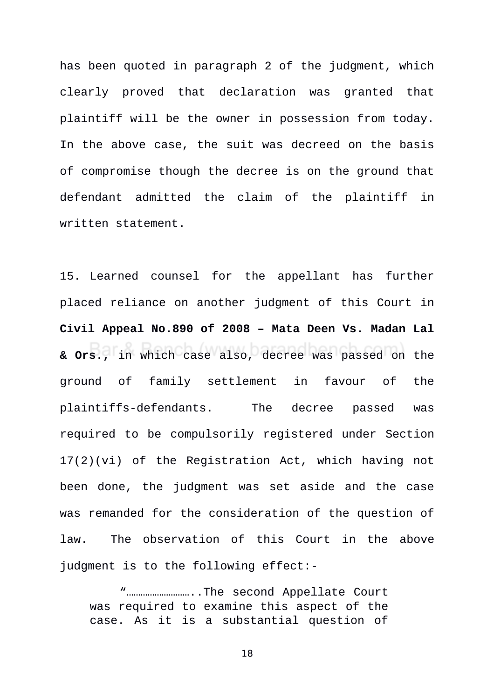has been quoted in paragraph 2 of the judgment, which clearly proved that declaration was granted that plaintiff will be the owner in possession from today. In the above case, the suit was decreed on the basis of compromise though the decree is on the ground that defendant admitted the claim of the plaintiff in written statement.

15. Learned counsel for the appellant has further placed reliance on another judgment of this Court in **Civil Appeal No.890 of 2008 – Mata Deen Vs. Madan Lal & Ors.,** in which case also, decree was passed on the ground of family settlement in favour of the plaintiffs-defendants. The decree passed was required to be compulsorily registered under Section 17(2)(vi) of the Registration Act, which having not been done, the judgment was set aside and the case was remanded for the consideration of the question of law. The observation of this Court in the above judgment is to the following effect:-

"………………………..The second Appellate Court was required to examine this aspect of the case. As it is a substantial question of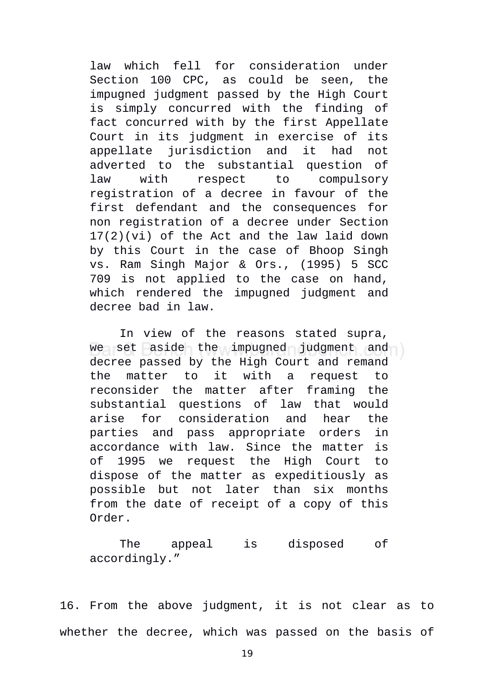law which fell for consideration under Section 100 CPC, as could be seen, the impugned judgment passed by the High Court is simply concurred with the finding of fact concurred with by the first Appellate Court in its judgment in exercise of its appellate jurisdiction and it had not adverted to the substantial question of law with respect to compulsory registration of a decree in favour of the first defendant and the consequences for non registration of a decree under Section 17(2)(vi) of the Act and the law laid down by this Court in the case of Bhoop Singh vs. Ram Singh Major & Ors., (1995) 5 SCC 709 is not applied to the case on hand, which rendered the impugned judgment and decree bad in law.

In view of the reasons stated supra, we set aside the impugned judgment and decree passed by the High Court and remand the matter to it with a request to reconsider the matter after framing the substantial questions of law that would arise for consideration and hear the parties and pass appropriate orders in accordance with law. Since the matter is of 1995 we request the High Court to dispose of the matter as expeditiously as possible but not later than six months from the date of receipt of a copy of this Order.

The appeal is disposed of accordingly."

16. From the above judgment, it is not clear as to whether the decree, which was passed on the basis of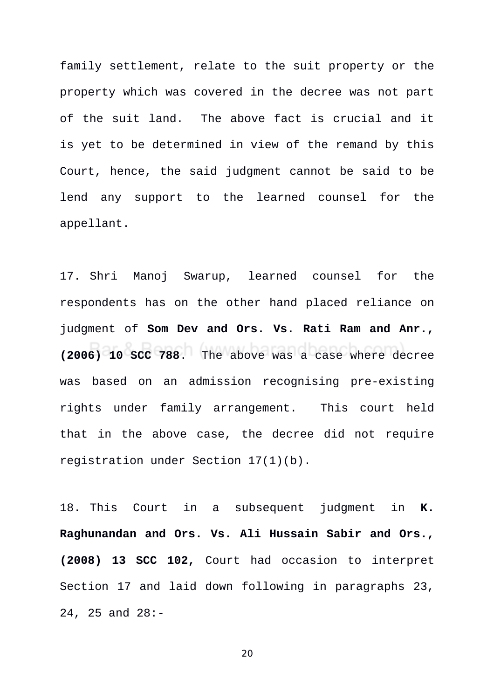family settlement, relate to the suit property or the property which was covered in the decree was not part of the suit land. The above fact is crucial and it is yet to be determined in view of the remand by this Court, hence, the said judgment cannot be said to be lend any support to the learned counsel for the appellant.

17. Shri Manoj Swarup, learned counsel for the respondents has on the other hand placed reliance on judgment of **Som Dev and Ors. Vs. Rati Ram and Anr., (2006) 10 SCC 788**.The above was a case where decree was based on an admission recognising pre-existing rights under family arrangement. This court held that in the above case, the decree did not require registration under Section 17(1)(b).

18. This Court in a subsequent judgment in **K. Raghunandan and Ors. Vs. Ali Hussain Sabir and Ors., (2008) 13 SCC 102,** Court had occasion to interpret Section 17 and laid down following in paragraphs 23, 24, 25 and 28:-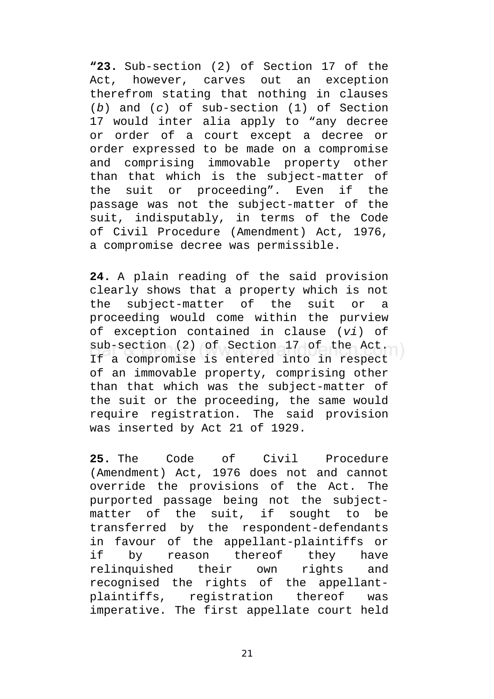**"23.** Sub-section (2) of Section 17 of the Act, however, carves out an exception therefrom stating that nothing in clauses (*b*) and (*c*) of sub-section (1) of Section 17 would inter alia apply to "any decree or order of a court except a decree or order expressed to be made on a compromise and comprising immovable property other than that which is the subject-matter of the suit or proceeding". Even if the passage was not the subject-matter of the suit, indisputably, in terms of the Code of Civil Procedure (Amendment) Act, 1976, a compromise decree was permissible.

**24.** A plain reading of the said provision clearly shows that a property which is not the subject-matter of the suit or a proceeding would come within the purview of exception contained in clause (*vi*) of sub-section (2) of Section 17 of the Act. If a compromise is entered into in respect of an immovable property, comprising other than that which was the subject-matter of the suit or the proceeding, the same would require registration. The said provision was inserted by Act 21 of 1929.

**25.** The Code of Civil Procedure (Amendment) Act, 1976 does not and cannot override the provisions of the Act. The purported passage being not the subjectmatter of the suit, if sought to be transferred by the respondent-defendants in favour of the appellant-plaintiffs or if by reason thereof they have relinquished their own rights and recognised the rights of the appellantplaintiffs, registration thereof was imperative. The first appellate court held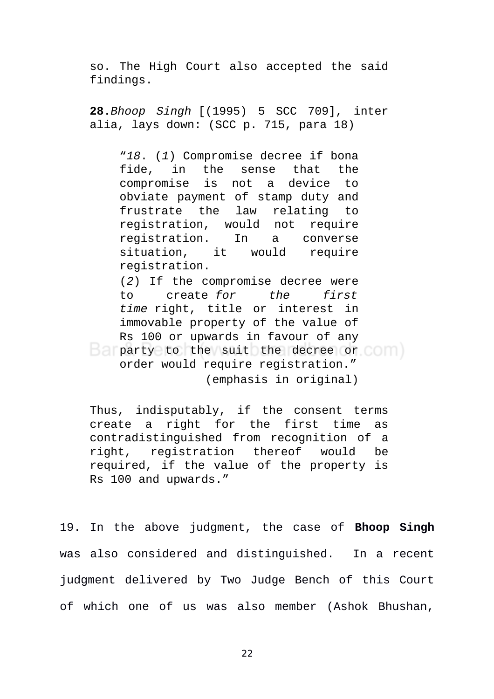so. The High Court also accepted the said findings.

**28.***Bhoop Singh* [(1995) 5 SCC 709], inter alia, lays down: (SCC p. 715, para 18)

"*18*. (*1*) Compromise decree if bona fide, in the sense that the compromise is not a device to obviate payment of stamp duty and frustrate the law relating to registration, would not require registration. In a converse situation, it would require registration.

(*2*) If the compromise decree were to create *for the first time* right, title or interest in immovable property of the value of Rs 100 or upwards in favour of any **party to the suit the decree or community** order would require registration." (emphasis in original)

Thus, indisputably, if the consent terms create a right for the first time as contradistinguished from recognition of a right, registration thereof would be required, if the value of the property is Rs 100 and upwards."

19. In the above judgment, the case of **Bhoop Singh** was also considered and distinguished. In a recent judgment delivered by Two Judge Bench of this Court of which one of us was also member (Ashok Bhushan,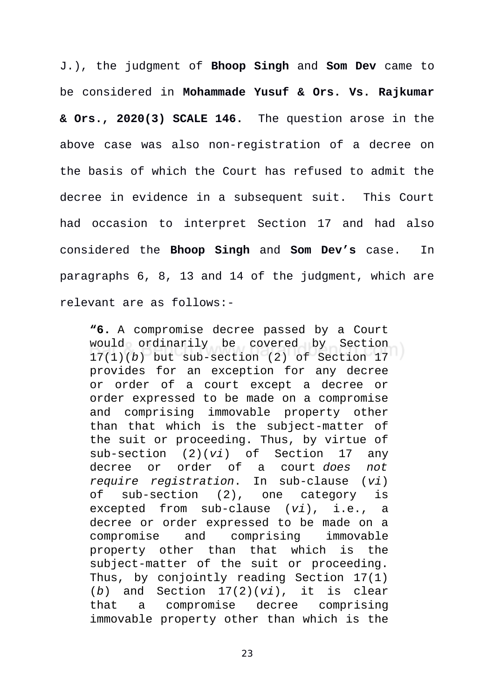J.), the judgment of **Bhoop Singh** and **Som Dev** came to be considered in **Mohammade Yusuf & Ors. Vs. Rajkumar & Ors., 2020(3) SCALE 146.** The question arose in the above case was also non-registration of a decree on the basis of which the Court has refused to admit the decree in evidence in a subsequent suit. This Court had occasion to interpret Section 17 and had also considered the **Bhoop Singh** and **Som Dev's** case. In paragraphs 6, 8, 13 and 14 of the judgment, which are relevant are as follows:-

**"6.** A compromise decree passed by a Court would ordinarily be covered by Section 17(1)(*b*) but sub-section (2) of Section 17 provides for an exception for any decree or order of a court except a decree or order expressed to be made on a compromise and comprising immovable property other than that which is the subject-matter of the suit or proceeding. Thus, by virtue of sub-section (2)(*vi*) of Section 17 any decree or order of a court *does not require registration*. In sub-clause (*vi*) of sub-section (2), one category is excepted from sub-clause (*vi*), i.e., a decree or order expressed to be made on a compromise and comprising immovable property other than that which is the subject-matter of the suit or proceeding. Thus, by conjointly reading Section 17(1) (*b*) and Section 17(2)(*vi*), it is clear that a compromise decree comprising immovable property other than which is the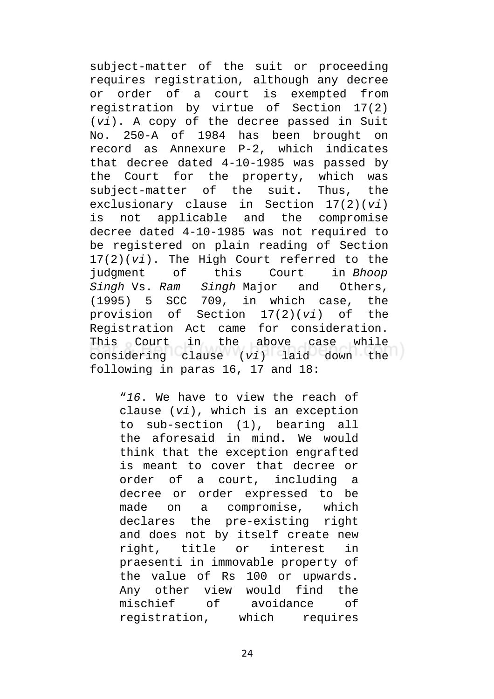subject-matter of the suit or proceeding requires registration, although any decree or order of a court is exempted from registration by virtue of Section 17(2) (*vi*). A copy of the decree passed in Suit No. 250-A of 1984 has been brought on record as Annexure P-2, which indicates that decree dated 4-10-1985 was passed by the Court for the property, which was subject-matter of the suit. Thus, the exclusionary clause in Section 17(2)(*vi*) is not applicable and the compromise decree dated 4-10-1985 was not required to be registered on plain reading of Section 17(2)(*vi*). The High Court referred to the judgment of this Court in *Bhoop Singh* Vs. *Ram Singh* Major and Others, (1995) 5 SCC 709, in which case, the provision of Section 17(2)(*vi*) of the Registration Act came for consideration. This Court in the above case while considering clause (*vi*) laid down the following in paras 16, 17 and 18:

"*16*. We have to view the reach of clause (*vi*), which is an exception to sub-section (1), bearing all the aforesaid in mind. We would think that the exception engrafted is meant to cover that decree or order of a court, including a decree or order expressed to be made on a compromise, which declares the pre-existing right and does not by itself create new right, title or interest in praesenti in immovable property of the value of Rs 100 or upwards. Any other view would find the mischief of avoidance of registration, which requires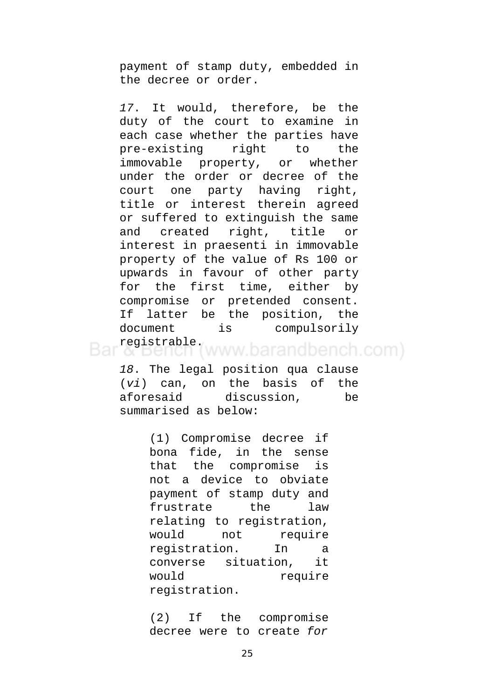payment of stamp duty, embedded in the decree or order.

*17*. It would, therefore, be the duty of the court to examine in each case whether the parties have pre-existing right to the immovable property, or whether under the order or decree of the court one party having right, title or interest therein agreed or suffered to extinguish the same and created right, title or interest in praesenti in immovable property of the value of Rs 100 or upwards in favour of other party for the first time, either by compromise or pretended consent. If latter be the position, the document is compulsorily registrable.<br>
« bench (www.barandbench.com)

*18*. The legal position qua clause (*vi*) can, on the basis of the aforesaid discussion, be summarised as below:

> (1) Compromise decree if bona fide, in the sense that the compromise is not a device to obviate payment of stamp duty and frustrate the law relating to registration, would not require registration. In a converse situation, it would require registration.

(2) If the compromise decree were to create *for*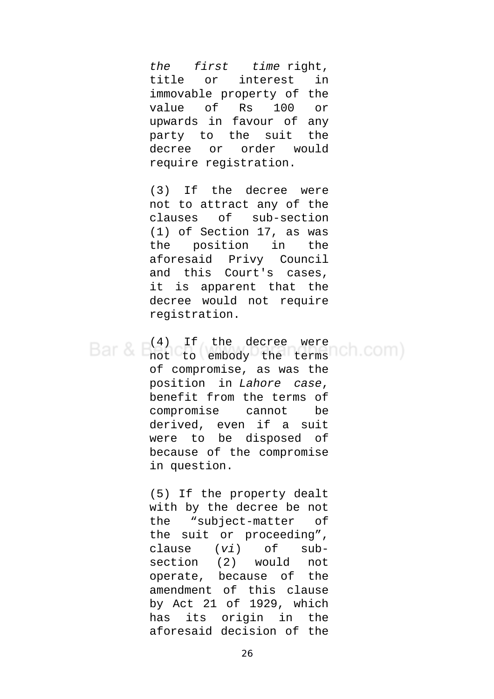*the first time* right, title or interest in immovable property of the value of Rs 100 or upwards in favour of any party to the suit the decree or order would require registration.

(3) If the decree were not to attract any of the clauses of sub-section (1) of Section 17, as was the position in the aforesaid Privy Council and this Court's cases, it is apparent that the decree would not require registration.

(4) If the decree were Bar & I not to embody the terms Ch.COM) of compromise, as was the position in *Lahore case*, benefit from the terms of compromise cannot be derived, even if a suit were to be disposed of because of the compromise in question.

> (5) If the property dealt with by the decree be not the "subject-matter of the suit or proceeding", clause (*vi*) of subsection (2) would not operate, because of the amendment of this clause by Act 21 of 1929, which has its origin in the aforesaid decision of the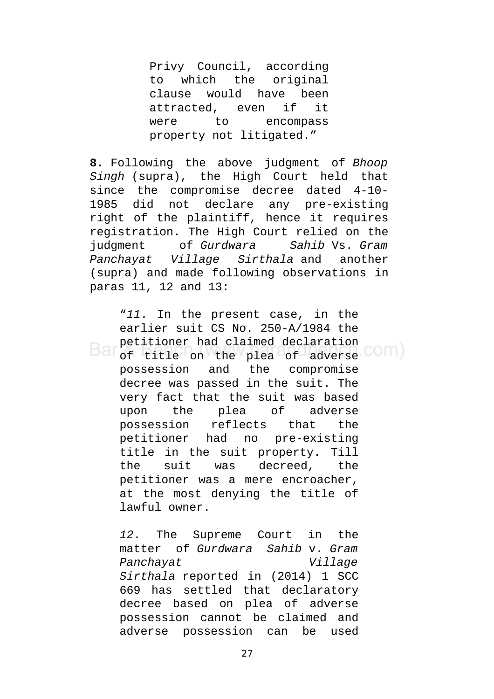Privy Council, according to which the original clause would have been attracted, even if it were to encompass property not litigated."

**8.** Following the above judgment of *Bhoop Singh* (supra), the High Court held that since the compromise decree dated 4-10- 1985 did not declare any pre-existing right of the plaintiff, hence it requires registration. The High Court relied on the judgment of *Gurdwara Sahib* Vs. *Gram Panchayat Village Sirthala* and another (supra) and made following observations in paras 11, 12 and 13:

"*11*. In the present case, in the earlier suit CS No. 250-A/1984 the petitioner had claimed declaration of title on the plea of adverse possession and the compromise decree was passed in the suit. The very fact that the suit was based upon the plea of adverse possession reflects that the petitioner had no pre-existing title in the suit property. Till the suit was decreed, the petitioner was a mere encroacher, at the most denying the title of lawful owner.

*12*. The Supreme Court in the matter of *Gurdwara Sahib* v. *Gram Panchayat Village Sirthala* reported in (2014) 1 SCC 669 has settled that declaratory decree based on plea of adverse possession cannot be claimed and adverse possession can be used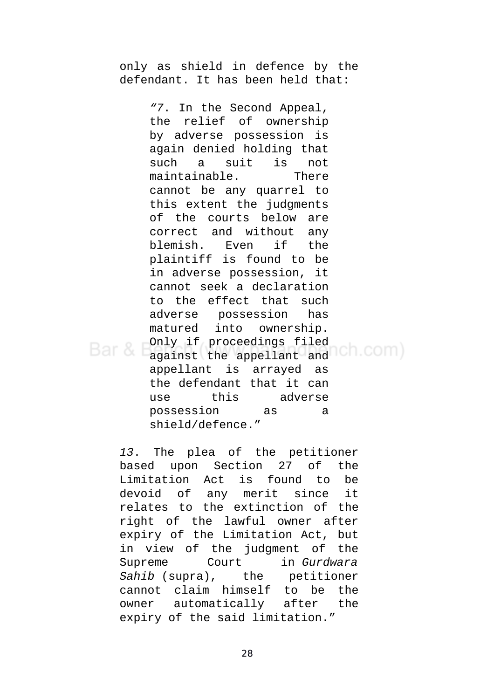only as shield in defence by the defendant. It has been held that:

*"7*. In the Second Appeal, the relief of ownership by adverse possession is again denied holding that such a suit is not maintainable. There cannot be any quarrel to this extent the judgments of the courts below are correct and without any blemish. Even if the plaintiff is found to be in adverse possession, it cannot seek a declaration to the effect that such adverse possession has matured into ownership. Only if proceedings filed against the appellant and Ch.COM) Bar & appellant is arrayed as the defendant that it can use this adverse possession as a shield/defence."

*13*. The plea of the petitioner based upon Section 27 of the Limitation Act is found to be devoid of any merit since it relates to the extinction of the right of the lawful owner after expiry of the Limitation Act, but in view of the judgment of the Supreme Court in *Gurdwara Sahib* (supra), the petitioner cannot claim himself to be the owner automatically after the expiry of the said limitation."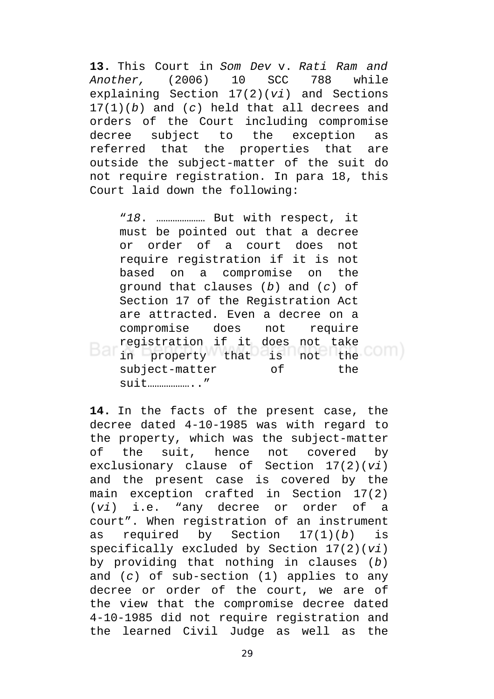**13.** This Court in *Som Dev* v. *Rati Ram and Another,* (2006) 10 SCC 788 while explaining Section 17(2)(*vi*) and Sections 17(1)(*b*) and (*c*) held that all decrees and orders of the Court including compromise decree subject to the exception as referred that the properties that are outside the subject-matter of the suit do not require registration. In para 18, this Court laid down the following:

"*18*. ………………… But with respect, it must be pointed out that a decree or order of a court does not require registration if it is not based on a compromise on the ground that clauses (*b*) and (*c*) of Section 17 of the Registration Act are attracted. Even a decree on a compromise does not require registration if it does not take Bar in property that is not the COM) subject-matter of the suit……………….."

**14.** In the facts of the present case, the decree dated 4-10-1985 was with regard to the property, which was the subject-matter of the suit, hence not covered by exclusionary clause of Section 17(2)(*vi*) and the present case is covered by the main exception crafted in Section 17(2) (*vi*) i.e. "any decree or order of a court". When registration of an instrument as required by Section 17(1)(*b*) is specifically excluded by Section 17(2)(*vi*) by providing that nothing in clauses (*b*) and (*c*) of sub-section (1) applies to any decree or order of the court, we are of the view that the compromise decree dated 4-10-1985 did not require registration and the learned Civil Judge as well as the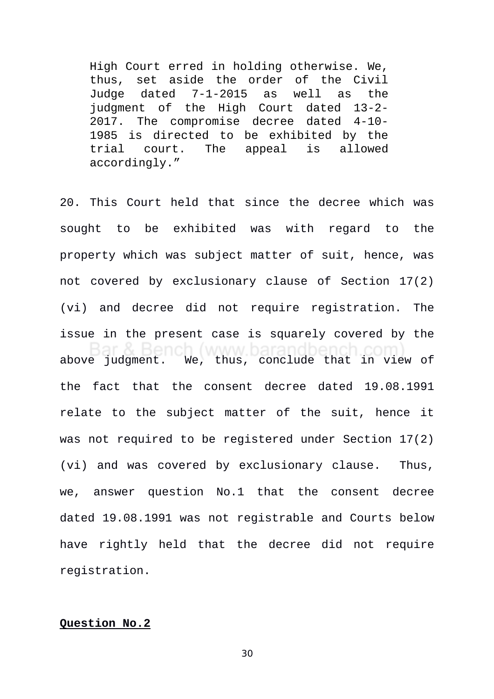High Court erred in holding otherwise. We, thus, set aside the order of the Civil Judge dated 7-1-2015 as well as the judgment of the High Court dated 13-2- 2017. The compromise decree dated 4-10- 1985 is directed to be exhibited by the trial court. The appeal is allowed accordingly."

20. This Court held that since the decree which was sought to be exhibited was with regard to the property which was subject matter of suit, hence, was not covered by exclusionary clause of Section 17(2) (vi) and decree did not require registration. The issue in the present case is squarely covered by the above judgment. We, thus, conclude that in view of the fact that the consent decree dated 19.08.1991 relate to the subject matter of the suit, hence it was not required to be registered under Section 17(2) (vi) and was covered by exclusionary clause. Thus, we, answer question No.1 that the consent decree dated 19.08.1991 was not registrable and Courts below have rightly held that the decree did not require registration.

### **Question No.2**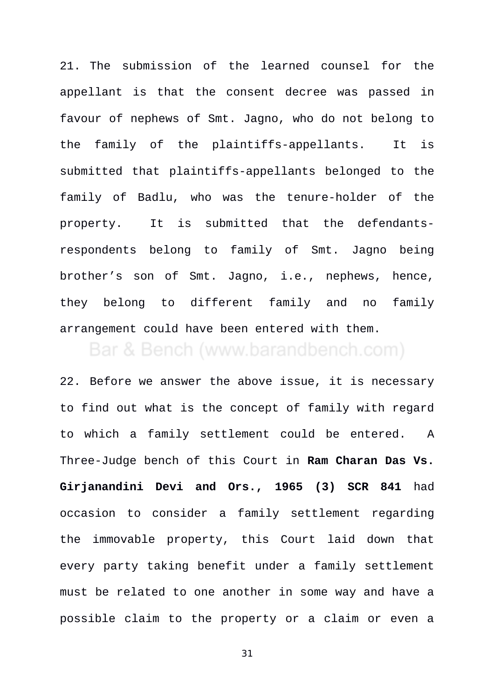21. The submission of the learned counsel for the appellant is that the consent decree was passed in favour of nephews of Smt. Jagno, who do not belong to the family of the plaintiffs-appellants. It is submitted that plaintiffs-appellants belonged to the family of Badlu, who was the tenure-holder of the property. It is submitted that the defendantsrespondents belong to family of Smt. Jagno being brother's son of Smt. Jagno, i.e., nephews, hence, they belong to different family and no family arrangement could have been entered with them.

# Bar & Bench (www.barandbench.com)

22. Before we answer the above issue, it is necessary to find out what is the concept of family with regard to which a family settlement could be entered. A Three-Judge bench of this Court in **Ram Charan Das Vs. Girjanandini Devi and Ors., 1965 (3) SCR 841** had occasion to consider a family settlement regarding the immovable property, this Court laid down that every party taking benefit under a family settlement must be related to one another in some way and have a possible claim to the property or a claim or even a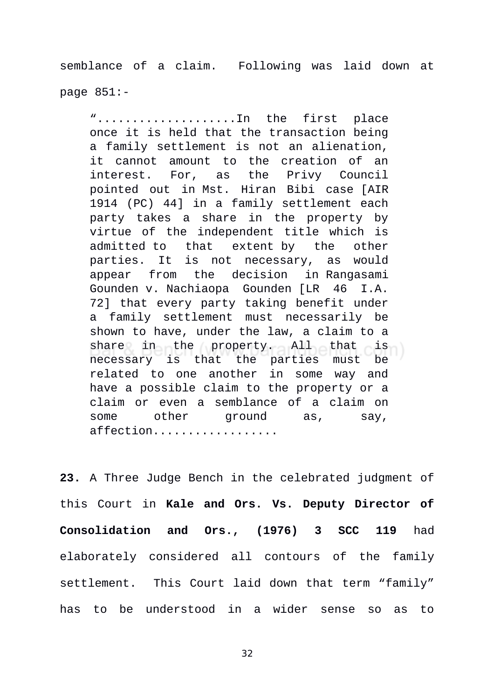semblance of a claim. Following was laid down at page 851:-

"....................In the first place once it is held that the transaction being a family settlement is not an alienation, it cannot amount to the creation of an interest. For, as the Privy Council pointed out in Mst. Hiran Bibi case [AIR 1914 (PC) 44] in a family settlement each party takes a share in the property by virtue of the independent title which is admitted to that extent by the other parties. It is not necessary, as would appear from the decision in Rangasami Gounden v. Nachiaopa Gounden [LR 46 I.A. 72] that every party taking benefit under a family settlement must necessarily be shown to have, under the law, a claim to a share in the property. All that is necessary is that the parties must be related to one another in some way and have a possible claim to the property or a claim or even a semblance of a claim on some other ground as, say, affection..................

**23.** A Three Judge Bench in the celebrated judgment of this Court in **Kale and Ors. Vs. Deputy Director of Consolidation and Ors., (1976) 3 SCC 119** had elaborately considered all contours of the family settlement. This Court laid down that term "family" has to be understood in a wider sense so as to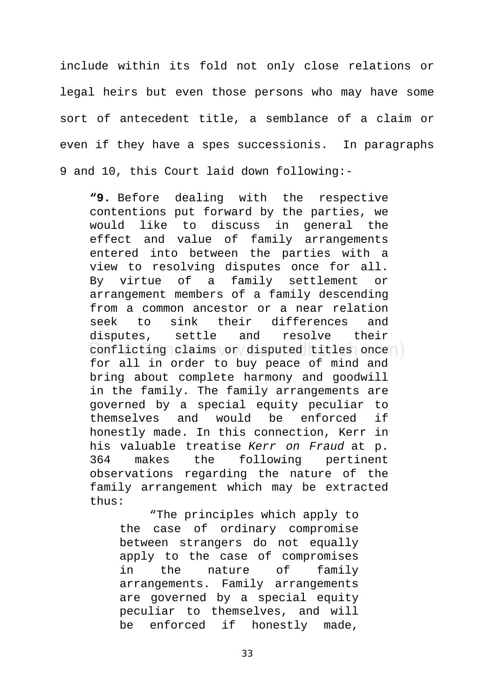include within its fold not only close relations or legal heirs but even those persons who may have some sort of antecedent title, a semblance of a claim or even if they have a spes successionis. In paragraphs 9 and 10, this Court laid down following:-

**"9.** Before dealing with the respective contentions put forward by the parties, we would like to discuss in general the effect and value of family arrangements entered into between the parties with a view to resolving disputes once for all. By virtue of a family settlement or arrangement members of a family descending from a common ancestor or a near relation seek to sink their differences and disputes, settle and resolve their conflicting claims or disputed titles once for all in order to buy peace of mind and bring about complete harmony and goodwill in the family. The family arrangements are governed by a special equity peculiar to themselves and would be enforced if honestly made. In this connection, Kerr in his valuable treatise *Kerr on Fraud* at p. 364 makes the following pertinent observations regarding the nature of the family arrangement which may be extracted thus:

"The principles which apply to the case of ordinary compromise between strangers do not equally apply to the case of compromises in the nature of family arrangements. Family arrangements are governed by a special equity peculiar to themselves, and will be enforced if honestly made,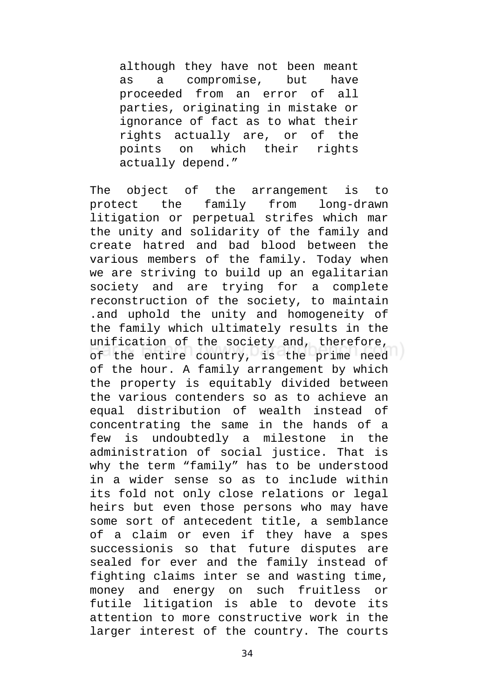although they have not been meant as a compromise, but have proceeded from an error of all parties, originating in mistake or ignorance of fact as to what their rights actually are, or of the points on which their rights actually depend."

The object of the arrangement is to protect the family from long-drawn litigation or perpetual strifes which mar the unity and solidarity of the family and create hatred and bad blood between the various members of the family. Today when we are striving to build up an egalitarian society and are trying for a complete reconstruction of the society, to maintain .and uphold the unity and homogeneity of the family which ultimately results in the unification of the society and, therefore, of the entire country, is the prime need of the hour. A family arrangement by which the property is equitably divided between the various contenders so as to achieve an equal distribution of wealth instead of concentrating the same in the hands of a few is undoubtedly a milestone in the administration of social justice. That is why the term "family" has to be understood in a wider sense so as to include within its fold not only close relations or legal heirs but even those persons who may have some sort of antecedent title, a semblance of a claim or even if they have a spes successionis so that future disputes are sealed for ever and the family instead of fighting claims inter se and wasting time, money and energy on such fruitless or futile litigation is able to devote its attention to more constructive work in the larger interest of the country. The courts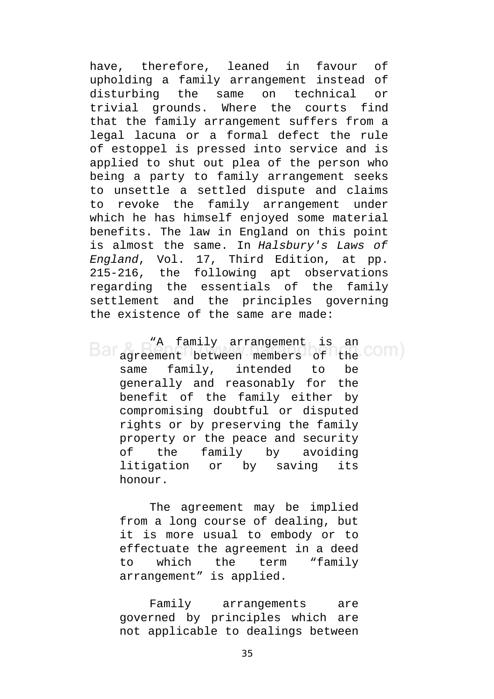have, therefore, leaned in favour of upholding a family arrangement instead of disturbing the same on technical or trivial grounds. Where the courts find that the family arrangement suffers from a legal lacuna or a formal defect the rule of estoppel is pressed into service and is applied to shut out plea of the person who being a party to family arrangement seeks to unsettle a settled dispute and claims to revoke the family arrangement under which he has himself enjoyed some material benefits. The law in England on this point is almost the same. In *Halsbury's Laws of England*, Vol. 17, Third Edition, at pp. 215-216, the following apt observations regarding the essentials of the family settlement and the principles governing the existence of the same are made:

"A family arrangement is an Bar agreement between members of the COM same family, intended to be generally and reasonably for the benefit of the family either by compromising doubtful or disputed rights or by preserving the family property or the peace and security of the family by avoiding litigation or by saving its honour.

The agreement may be implied from a long course of dealing, but it is more usual to embody or to effectuate the agreement in a deed to which the term "family arrangement" is applied.

Family arrangements are governed by principles which are not applicable to dealings between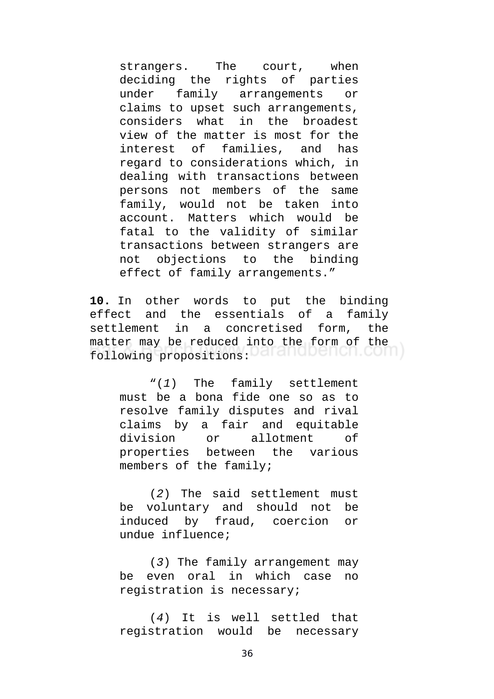strangers. The court, when deciding the rights of parties under family arrangements or claims to upset such arrangements, considers what in the broadest view of the matter is most for the interest of families, and has regard to considerations which, in dealing with transactions between persons not members of the same family, would not be taken into account. Matters which would be fatal to the validity of similar transactions between strangers are not objections to the binding effect of family arrangements."

**10.** In other words to put the binding effect and the essentials of a family settlement in a concretised form, the matter may be reduced into the form of the following propositions: DarandDench.com

"(*1*) The family settlement must be a bona fide one so as to resolve family disputes and rival claims by a fair and equitable division or allotment of properties between the various members of the family;

(*2*) The said settlement must be voluntary and should not be induced by fraud, coercion or undue influence;

(*3*) The family arrangement may be even oral in which case no registration is necessary;

(*4*) It is well settled that registration would be necessary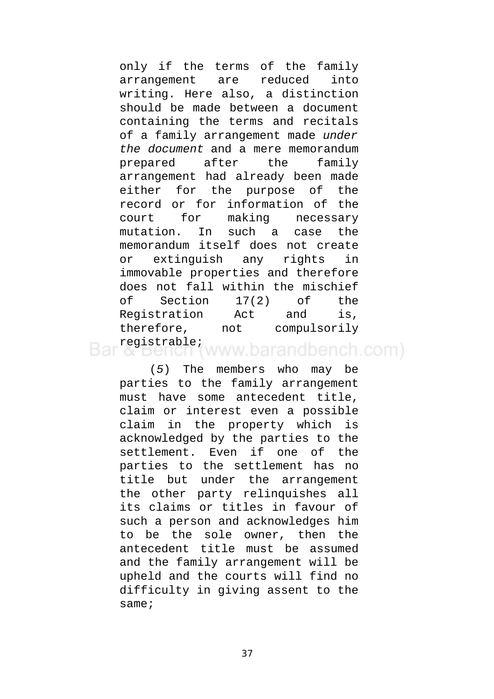only if the terms of the family arrangement are reduced into writing. Here also, a distinction should be made between a document containing the terms and recitals of a family arrangement made *under the document* and a mere memorandum prepared after the family arrangement had already been made either for the purpose of the record or for information of the court for making necessary mutation. In such a case the memorandum itself does not create or extinguish any rights in immovable properties and therefore does not fall within the mischief of Section 17(2) of the Registration Act and is, therefore, not compulsorily registrable; www.barandbench.com)

(*5*) The members who may be parties to the family arrangement must have some antecedent title, claim or interest even a possible claim in the property which is acknowledged by the parties to the settlement. Even if one of the parties to the settlement has no title but under the arrangement the other party relinquishes all its claims or titles in favour of such a person and acknowledges him to be the sole owner, then the antecedent title must be assumed and the family arrangement will be upheld and the courts will find no difficulty in giving assent to the same;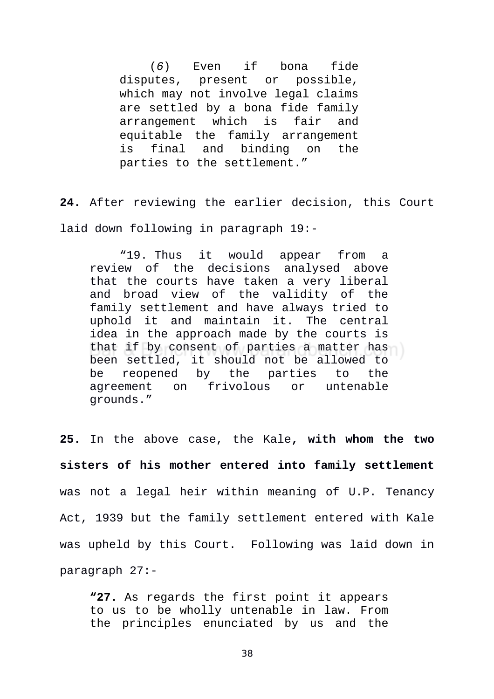(*6*) Even if bona fide disputes, present or possible, which may not involve legal claims are settled by a bona fide family arrangement which is fair and equitable the family arrangement is final and binding on the parties to the settlement."

**24.** After reviewing the earlier decision, this Court laid down following in paragraph 19:-

"19. Thus it would appear from a review of the decisions analysed above that the courts have taken a very liberal and broad view of the validity of the family settlement and have always tried to uphold it and maintain it. The central idea in the approach made by the courts is that if by consent of parties a matter has been settled, it should not be allowed to be reopened by the parties to the agreement on frivolous or untenable grounds."

**25.** In the above case, the Kale**, with whom the two sisters of his mother entered into family settlement** was not a legal heir within meaning of U.P. Tenancy Act, 1939 but the family settlement entered with Kale was upheld by this Court. Following was laid down in paragraph 27:-

**"27.** As regards the first point it appears to us to be wholly untenable in law. From the principles enunciated by us and the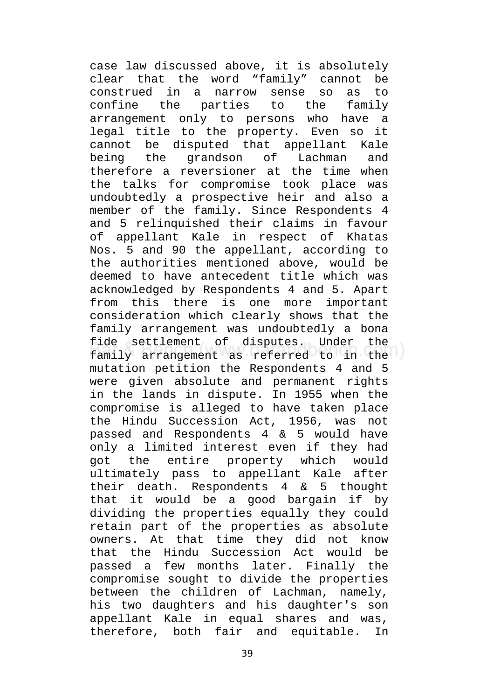case law discussed above, it is absolutely clear that the word "family" cannot be construed in a narrow sense so as to confine the parties to the family arrangement only to persons who have a legal title to the property. Even so it cannot be disputed that appellant Kale being the grandson of Lachman and therefore a reversioner at the time when the talks for compromise took place was undoubtedly a prospective heir and also a member of the family. Since Respondents 4 and 5 relinquished their claims in favour of appellant Kale in respect of Khatas Nos. 5 and 90 the appellant, according to the authorities mentioned above, would be deemed to have antecedent title which was acknowledged by Respondents 4 and 5. Apart from this there is one more important consideration which clearly shows that the family arrangement was undoubtedly a bona fide settlement of disputes. Under the family arrangement as referred to in the mutation petition the Respondents 4 and 5 were given absolute and permanent rights in the lands in dispute. In 1955 when the compromise is alleged to have taken place the Hindu Succession Act, 1956, was not passed and Respondents 4 & 5 would have only a limited interest even if they had got the entire property which would ultimately pass to appellant Kale after their death. Respondents 4 & 5 thought that it would be a good bargain if by dividing the properties equally they could retain part of the properties as absolute owners. At that time they did not know that the Hindu Succession Act would be passed a few months later. Finally the compromise sought to divide the properties between the children of Lachman, namely, his two daughters and his daughter's son appellant Kale in equal shares and was, therefore, both fair and equitable. In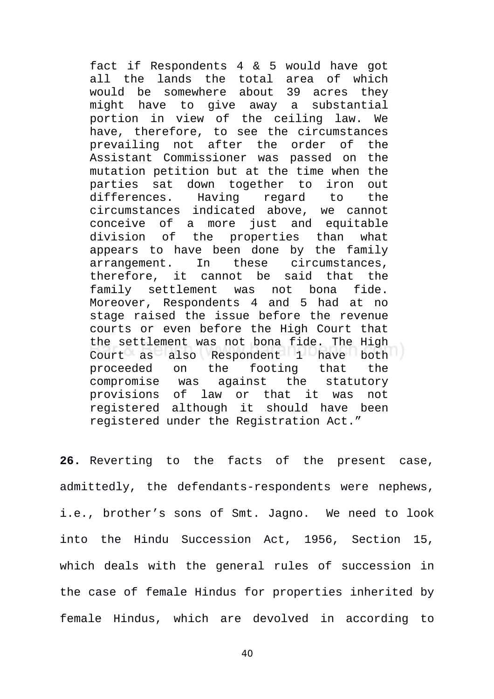fact if Respondents 4 & 5 would have got all the lands the total area of which would be somewhere about 39 acres they might have to give away a substantial portion in view of the ceiling law. We have, therefore, to see the circumstances prevailing not after the order of the Assistant Commissioner was passed on the mutation petition but at the time when the parties sat down together to iron out differences. Having regard to the circumstances indicated above, we cannot conceive of a more just and equitable division of the properties than what appears to have been done by the family arrangement. In these circumstances, therefore, it cannot be said that the family settlement was not bona fide. Moreover, Respondents 4 and 5 had at no stage raised the issue before the revenue courts or even before the High Court that the settlement was not bona fide. The High Court as also Respondent 1 have both proceeded on the footing that the compromise was against the statutory provisions of law or that it was not registered although it should have been registered under the Registration Act."

**26.** Reverting to the facts of the present case, admittedly, the defendants-respondents were nephews, i.e., brother's sons of Smt. Jagno. We need to look into the Hindu Succession Act, 1956, Section 15, which deals with the general rules of succession in the case of female Hindus for properties inherited by female Hindus, which are devolved in according to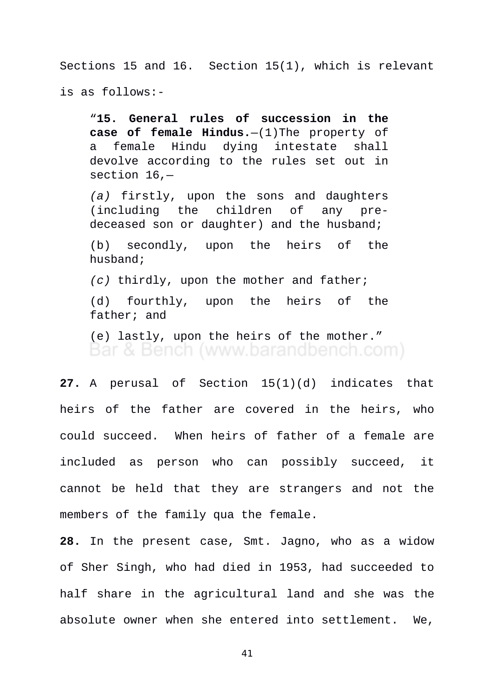Sections 15 and 16. Section 15(1), which is relevant is as follows:-

"**15. General rules of succession in the case of female Hindus.**[—\(1\)T](https://indiankanoon.org/doc/1627632/)he property of a female Hindu dying intestate shall devolve according to the rules set out in section 16,—

*[\(a\)](https://indiankanoon.org/doc/44844325/)* firstly, upon the sons and daughters (including the children of any predeceased son or daughter) and the husband;

[\(b\)](https://indiankanoon.org/doc/164077482/) secondly, upon the heirs of the husband;

*[\(c\)](https://indiankanoon.org/doc/181630385/)* thirdly, upon the mother and father;

[\(d\)](https://indiankanoon.org/doc/7181637/) fourthly, upon the heirs of the father; and

[\(e\)](https://indiankanoon.org/doc/174324588/) lastly, upon the heirs of the mother." Bar & Bench (www.barandbench.com)

**27.** A perusal of Section 15(1)(d) indicates that heirs of the father are covered in the heirs, who could succeed. When heirs of father of a female are included as person who can possibly succeed, it cannot be held that they are strangers and not the members of the family qua the female.

**28.** In the present case, Smt. Jagno, who as a widow of Sher Singh, who had died in 1953, had succeeded to half share in the agricultural land and she was the absolute owner when she entered into settlement. We,